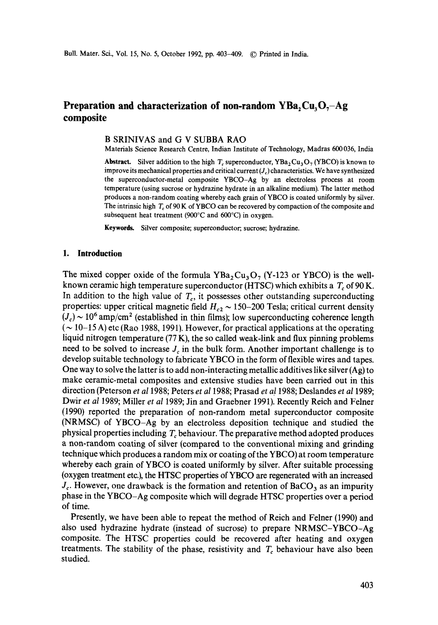# **Preparation and characterization of non-random**  $YBa<sub>2</sub>Cu<sub>3</sub>O<sub>7</sub> - Ag$ **composite**

### B SRINIVAS and G V SUBBA RAO

Materials Science Research Centre, Indian Institute of Technology, Madras 600036, India

**Abstract.** Silver addition to the high  $T_c$  superconductor,  $YBa_2Cu_3O_7$  (YBCO) is known to improve its mechanical properties and critical current  $(J_c)$  characteristics. We have synthesized the superconductor-metal composite YBCO-Ag by an electroless process at room temperature (using sucrose or hydrazine hydrate in an alkaline medium). The latter method produces a non-random coating whereby each grain of YBCO is coated uniformly by silver. The intrinsic high  $T_c$  of 90 K of YBCO can be recovered by compaction of the composite and subsequent heat treatment (900°C and 600°C) in oxygen.

Keywords. Silver composite; superconductor; sucrose; hydrazine.

### **1. Introduction**

The mixed copper oxide of the formula  $YBa<sub>2</sub>Cu<sub>3</sub>O<sub>7</sub>$  (Y-123 or YBCO) is the wellknown ceramic high temperature superconductor (HTSC) which exhibits a  $T_c$  of 90 K. In addition to the high value of  $T_c$ , it possesses other outstanding superconducting properties: upper critical magnetic field  $H_{c2} \sim 150-200$  Tesla; critical current density  $(J_c) \sim 10^6$  amp/cm<sup>2</sup> (established in thin films); low superconducting coherence length  $({\sim} 10{\sim}15$  A) etc (Rao 1988, 1991). However, for practical applications at the operating liquid nitrogen temperature (77 K), the so called weak-link and flux pinning problems need to be solved to increase  $J_c$  in the bulk form. Another important challenge is to develop suitable technology to fabricate YBCO in the form of flexible wires and tapes. One way to solve the latter is to add non-interacting metallic additives like silver  $(Ag)$  to make ceramic-metal composites and extensive studies have been carried out in this direction (Peterson *et a11988;* Peters *et a11988;* Prasad *et a11988;* Deslandes *et a11989;*  Dwir *et al* 1989; Miller *et al* 1989; Jin and Graebner 1991). Recently Reich and Felner (1990) reported the preparation of non-random metal superconductor composite (NRMSC) of YBCO-Ag by an electroless deposition technique and studied the physical properties including  $T_c$  behaviour. The preparative method adopted produces a non-random coating of silver (compared to the conventional mixing and grinding technique which produces a random mix or coating of the YBCO) at room temperature whereby each grain of YBCO is coated uniformly by silver. After suitable processing (oxygen treatment etc.), the HTSC properties of YBCO are regenerated with an increased  $J_c$ . However, one drawback is the formation and retention of BaCO<sub>3</sub> as an impurity phase in the YBCO-Ag composite which will degrade HTSC properties over a period of time.

Presently, we have been able to repeat the method of Reich and Felner (1990) and also used hydrazine hydrate (instead of sucrose) to prepare NRMSC-YBCO-Ag composite. The HTSC properties could be recovered after heating and oxygen treatments. The stability of the phase, resistivity and  $T_c$  behaviour have also been studied.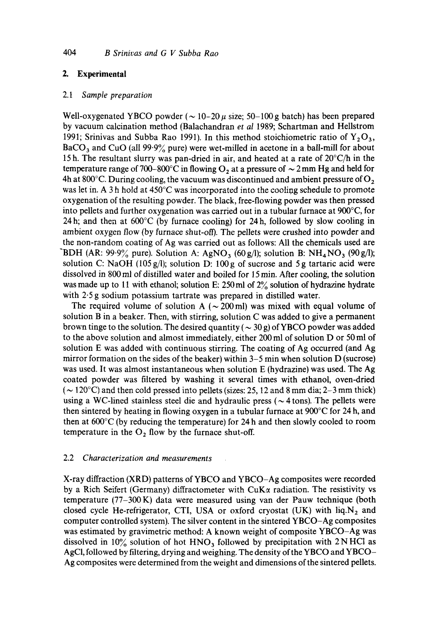# 2. Experimental

### *2.1 Sample preparation*

Well-oxygenated YBCO powder ( $\sim$  10-20  $\mu$  size; 50-100 g batch) has been prepared by vacuum calcination method (Balachandran *et al* 1989; Schartman and Hellstrom 1991; Srinivas and Subba Rao 1991). In this method stoichiometric ratio of  $Y_2O_3$ ,  $BaCO<sub>3</sub>$  and CuO (all 99.9% pure) were wet-milled in acetone in a ball-mill for about 15 h. The resultant slurry was pan-dried in air, and heated at a rate of 20°C/h in the temperature range of 700–800°C in flowing  $O_2$  at a pressure of  $\sim$  2 mm Hg and held for 4h at 800°C. During cooling, the vacuum was discontinued and ambient pressure of  $O_2$ was let in. A 3 h hold at 450°C was incorporated into the cooling schedule to promote oxygenation of the resulting powder. The black, free-flowing powder was then pressed into pellets and further oxygenation was carried out in a tubular furnace at 900°C, for 24 h; and then at  $600^{\circ}$ C (by furnace cooling) for 24 h, followed by slow cooling in ambient oxygen flow (by furnace shut-off). The pellets were crushed into powder and the non-random coating of Ag was carried out as follows: All the chemicals used are BDH (AR: 99.9% pure). Solution A: AgNO<sub>3</sub> (60 g/l); solution B: NH<sub>4</sub>NO<sub>3</sub> (90 g/l); solution C: NaOH (105 g/l); solution D: 100 g of sucrose and 5 g tartaric acid were dissolved in 800 ml of distilled water and boiled for 15 min. After cooling, the solution was made up to 11 with ethanol; solution E: 250 ml of  $2\frac{9}{6}$  solution of hydrazine hydrate with 2.5 g sodium potassium tartrate was prepared in distilled water.

The required volume of solution A ( $\sim$  200 ml) was mixed with equal volume of solution B in a beaker. Then, with stirring, solution C was added to give a permanent brown tinge to the solution. The desired quantity ( $\sim$  30 g) of YBCO powder was added to the above solution and almost immediately, either 200 ml of solution D or 50 ml of solution E was added with continuous stirring. The coating of Ag occurred (and Ag mirror formation on the sides of the beaker) within 3-5 min when solution D (sucrose) was used. It was almost instantaneous when solution E (hydrazine) was used. The Ag coated powder was filtered by washing it several times with ethanol, oven-dried ( $\sim$  120 $\degree$ C) and then cold pressed into pellets (sizes: 25, 12 and 8 mm dia; 2–3 mm thick) using a WC-lined stainless steel die and hydraulic press ( $\sim$  4 tons). The pellets were then sintered by heating in flowing oxygen in a tubular furnace at 900°C for 24 h, and then at 600°C (by reducing the temperature) for 24 h and then slowly cooled to room temperature in the  $O_2$  flow by the furnace shut-off.

# 2.2 *Characterization and measurements*

X-ray diffraction (XRD) patterns of YBCO and YBCO-Ag composites were recorded by a Rich Seifert (Germany) diffractometer with CuK $\alpha$  radiation. The resistivity vs temperature (77-300 K) data were measured using van der Pauw technique (both closed cycle He-refrigerator, CTI, USA or oxford cryostat (UK) with  $liq.N_2$  and computer controlled system). The silver content in the sintered YBCO-Ag composites was estimated by gravimetric method: A known weight of composite YBCO-Ag was dissolved in  $10\%$  solution of hot HNO<sub>3</sub> followed by precipitation with 2NHCl as AgCI, followed by filtering, drying and weighing. The density of the YBCO and YBCO-Ag composites were determined from the weight and dimensions of the sintered pellets.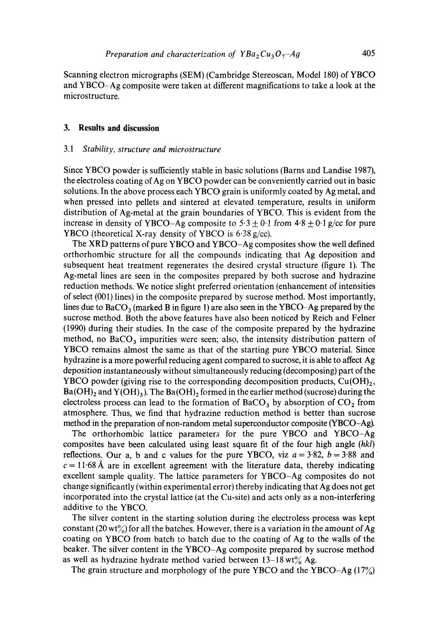Scanning electron micrographs (SEM) (Cambridge Stereoscan, Model 180) of YBCO and YBCO-Ag composite were taken at different magnifications to take a look at the microstructure.

# **3. Results and discussion**

### 3.1 *Stability, structure and microstructure*

Since YBCO powder is sufficiently stable in basic solutions (Barns and Landise 1987), the electroless coating of Ag on YBCO powder can be conveniently carried out in basic solutions. In the above process each YBCO grain is uniformly coated by Ag metal, and when pressed into pellets and sintered at elevated temperature, results in uniform distribution of Ag-metal at the grain boundaries of YBCO. This is evident from the increase in density of YBCO-Ag composite to  $5.3 \pm 0.1$  from  $4.8 \pm 0.1$  *g/cc* for pure YBCO (theoretical X-ray density of YBCO is 6-38 g/cc).

The XRD patterns of pure YBCO and YBCO-Ag composites show the well defined orthorhombic structure for all the compounds indicating that Ag deposition and subsequent heat treatment regenerates the desired crystal structure (figure 1). The Ag-metal lines are seen in the composites prepared by both sucrose and hydrazine reduction methods. We notice slight preferred orientation (enhancement of intensities of select (001) lines) in the composite prepared by sucrose method. Most importantly, lines due to BaCO<sub>3</sub> (marked B in figure 1) are also seen in the YBCO-Ag prepared by the sucrose method. Both the above features have also been noticed by Reich and Felner (1990) during their studies. In the case of the composite prepared by the hydrazine method, no  $BaCO<sub>3</sub>$  impurities were seen; also, the intensity distribution pattern of YBCO remains almost the same as that of the starting pure YBCO material. Since hydrazine is a more powerful reducing agent compared to sucrose, it is able to affect Ag deposition instantaneously without simultaneously reducing (decomposing) part of the YBCO powder (giving rise to the corresponding decomposition products,  $Cu(OH)<sub>2</sub>$ ,  $Ba(OH)_2$  and  $Y(OH)_3$ ). The  $Ba(OH)_2$  formed in the earlier method (sucrose) during the electroless process can lead to the formation of BaCO<sub>3</sub> by absorption of  $CO<sub>2</sub>$  from atmosphere. Thus, we find that hydrazine reduction method is better than sucrose method in the preparation of non-random metal superconductor composite (YBCO-Ag).

The orthorhombic lattice parameters for the pure YBCO and YBCO-Ag composites have been calculated using least square fit of the four high angle *(hkl)*  reflections. Our a, b and c values for the pure YBCO, viz  $a = 3.82$ ,  $b = 3.88$  and  $c = 11.68$  Å are in excellent agreement with the literature data, thereby indicating excellent sample quality. The lattice parameters for YBCO-Ag composites do not change significantly (within experimental error) thereby indicating that Ag does not get incorporated into the crystal lattice (at the Cu-site) and acts only as a non-interfering additive to the YBCO.

The silver content in the starting solution during the electroless process was kept constant (20 wt%) for all the batches. However, there is a variation in the amount of Ag coating on YBCO from batch to batch due to the coating of Ag to the walls of the beaker. The silver content in the YBCO-Ag composite prepared by sucrose method as well as hydrazine hydrate method varied between  $13-18 \text{ wt\% }$  Ag.

The grain structure and morphology of the pure YBCO and the YBCO-Ag  $(17\%)$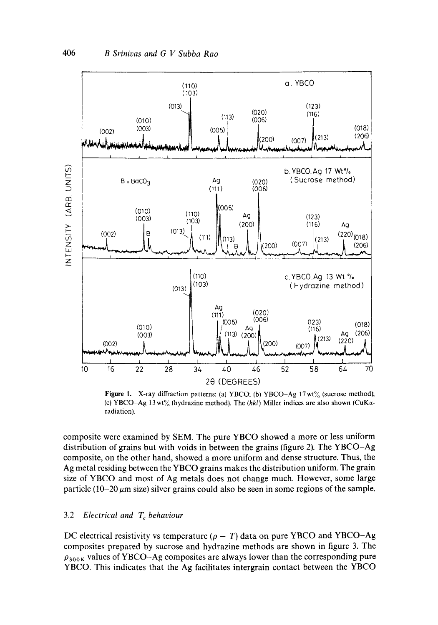

Figure 1. X-ray diffraction patterns: (a) YBCO; (b) YBCO-Ag 17 wt% (sucrose method); (c) YBCO-Ag 13 wt% (hydrazine method). The *(hkl)* **Miller indices** are also shown (CuKeradiation).

**composite were examined by SEM. The pure YBCO showed a more or less uniform distribution of grains but with voids in between the grains (figure 2). The YBCO-Ag composite, on the other hand, showed a more uniform and dense structure. Thus, the Ag metal residing between the YBCO grains makes the distribution uniform. The grain size of YBCO and most of Ag metals does not change much. However, some large**  particle  $(10-20 \,\mu m$  size) silver grains could also be seen in some regions of the sample.

# 3.2 *Electrical and T<sub>c</sub> behaviour*

DC electrical resistivity vs temperature  $(\rho - T)$  data on pure YBCO and YBCO-Ag composites prepared by sucrose and hydrazine methods are shown **in figure** 3. The  $\rho_{300K}$  values of YBCO-Ag composites are always lower than the corresponding pure YBCO. This indicates that the Ag **facilitates intergrain contact between** the YBCO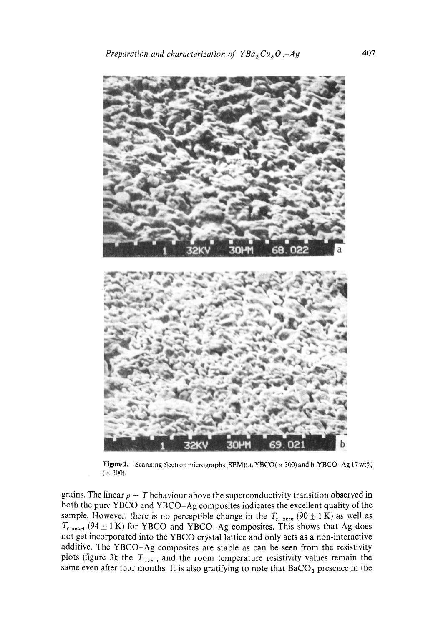

Figure 2. Scanning electron micrographs (SEM): a, YBCO( $\times$  300) and b, YBCO-Ag 17 wt%  $(x 300)$ .

grains. The linear  $\rho - T$  behaviour above the superconductivity transition observed in both the pure YBCO and YBCO-Ag composites indicates the excellent quality of the sample. However, there is no perceptible change in the  $T_{c, zero}$  (90  $\pm$  1 K) as well as  $T_{c,onset}$  (94  $\pm$  1 K) for YBCO and YBCO-Ag composites. This shows that Ag does not get incorporated into the YBCO crystal lattice and only acts as a non-interactive additive. The YBCO-Ag composites are stable as can be seen from the resistivity plots (figure 3); the  $T_{c,zero}$  and the room temperature resistivity values remain the same even after four months. It is also gratifying to note that  $BaCO<sub>3</sub>$  presence in the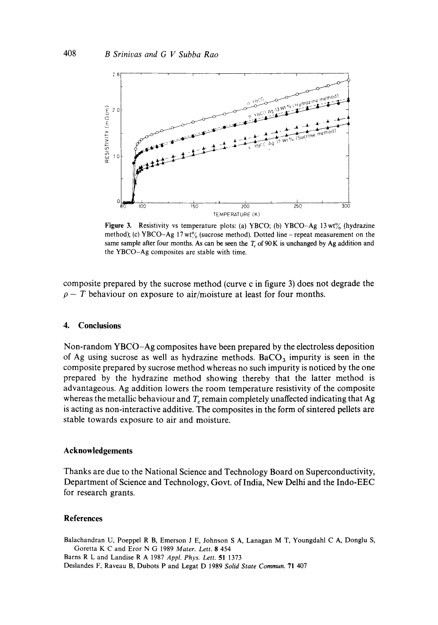

Figure 3. Resistivity vs temperature plots: (a) YBCO; (b) YBCO-Ag 13 wt% (hydrazine method); (c) YBCO-Ag  $17 \text{ wt\%}$  (sucrose method). Dotted line – repeat measurement on the same sample after four months. As can be seen the  $T_c$  of 90 K is unchanged by Ag addition and the YBCO-Ag composites are stable with time.

composite prepared by the sucrose method (curve c in figure 3) does not degrade the  $\rho - T$  behaviour on exposure to air/moisture at least for four months.

# 4. **Conclusions**

Non-random YBCO-Ag composites have been prepared by the electroless deposition of Ag using sucrose as well as hydrazine methods. BaCO<sub>3</sub> impurity is seen in the composite prepared by sucrose method whereas no such impurity is noticed by the one prepared by the hydrazine method showing thereby that the latter method is advantageous. Ag addition lowers the room temperature resistivity of the composite whereas the metallic behaviour and  $T_c$  remain completely unaffected indicating that Ag is acting as non-interactive additive. The composites in the form of sintered pellets are stable towards exposure to air and moisture.

### **Acknowledgements**

Thanks are due to the National Science and Technology Board on Superconductivity, Department of Science and Technology, Govt. of India, New Delhi and the Indo-EEC for research grants.

### **References**

Balachandran U, Poeppel R B, Emerson J E, Johnson S A, Lanagan M T, Youngdahl C A, Donglu S, Goretta K C and Eror N G 1989 *Mater. Lett.* 8 454 Barns R L and Landise R A 1987 *Appl. Phys. Lett.* 51 1373 Deslandes F, Raveau B, Dubots P and Legat D 1989 *Solid State Commun.* 71 407